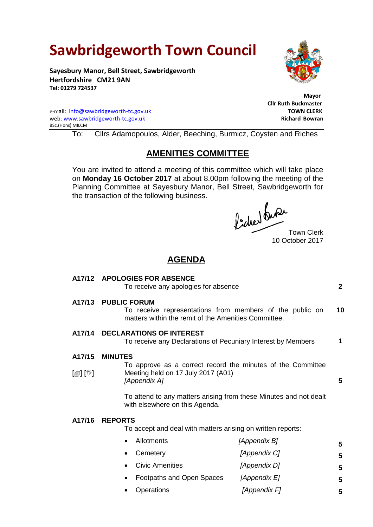# **Sawbridgeworth Town Council**

**Sayesbury Manor, Bell Street, Sawbridgeworth Hertfordshire CM21 9AN Tel: 01279 724537**

e-mail: [info@sawbridgeworth-tc.gov.uk](mailto:info@sawbridgeworth-tc.gov.uk) **TOWN CLERK** web: www.sawbridgeworth-tc.gov.uk BSc.(Hons) MILCM

To: Cllrs Adamopoulos, Alder, Beeching, Burmicz, Coysten and Riches

## **AMENITIES COMMITTEE**

You are invited to attend a meeting of this committee which will take place on **Monday 16 October 2017** at about 8.00pm following the meeting of the Planning Committee at Sayesbury Manor, Bell Street, Sawbridgeworth for the transaction of the following business.

foched the Town Clerk

10 October 2017

**5**

## **AGENDA**

| A17/12                     | <b>APOLOGIES FOR ABSENCE</b><br>To receive any apologies for absence                                                                    |              | $\mathbf{2}$ |
|----------------------------|-----------------------------------------------------------------------------------------------------------------------------------------|--------------|--------------|
| A17/13                     | <b>PUBLIC FORUM</b><br>To receive representations from members of the public on<br>matters within the remit of the Amenities Committee. |              | 10           |
| A17/14                     | <b>DECLARATIONS OF INTEREST</b><br>To receive any Declarations of Pecuniary Interest by Members                                         |              | 1            |
| A17/15                     | <b>MINUTES</b>                                                                                                                          |              |              |
| $\mathbb{D}[\mathbb{D}^1]$ | To approve as a correct record the minutes of the Committee<br>Meeting held on 17 July 2017 (A01)<br>[Appendix A]                       |              | 5            |
|                            | To attend to any matters arising from these Minutes and not dealt<br>with elsewhere on this Agenda.                                     |              |              |
| A17/16                     | <b>REPORTS</b><br>To accept and deal with matters arising on written reports:                                                           |              |              |
|                            | Allotments                                                                                                                              | [Appendix B] | 5            |
|                            | Cemetery                                                                                                                                | [Appendix C] | 5            |
|                            | <b>Civic Amenities</b><br>$\bullet$                                                                                                     | [Appendix D] | 5            |
|                            | Footpaths and Open Spaces                                                                                                               | [Appendix E] | 5            |

Operations *[Appendix F]*



 **Mayor** 

 **Cllr Ruth Buckmaster**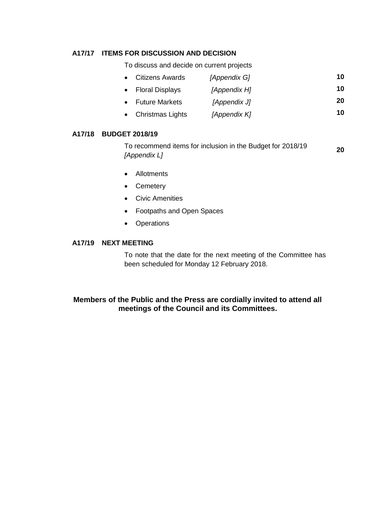## **A17/17 ITEMS FOR DISCUSSION AND DECISION**

To discuss and decide on current projects

- Citizens Awards *[Appendix G]* **10**
- Floral Displays *[Appendix H]* **10**
- Future Markets *[Appendix J]* **20**
- Christmas Lights *[Appendix K]* **10**

#### **A17/18 BUDGET 2018/19**

To recommend items for inclusion in the Budget for 2018/19 *[Appendix L]* **20**

- Allotments
- Cemetery
- Civic Amenities
- Footpaths and Open Spaces
- Operations

#### **A17/19 NEXT MEETING**

To note that the date for the next meeting of the Committee has been scheduled for Monday 12 February 2018.

## **Members of the Public and the Press are cordially invited to attend all meetings of the Council and its Committees.**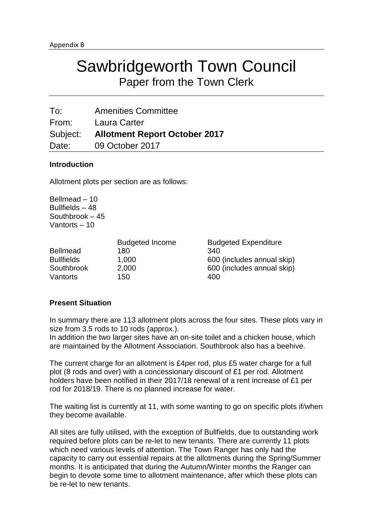To: Amenities Committee From: Laura Carter Subject: **Allotment Report October 2017** Date: 09 October 2017

## **Introduction**

Allotment plots per section are as follows:

Bellmead – 10 Bullfields – 48 Southbrook – 45 Vantorts – 10

|                   | <b>Budgeted Income</b> | <b>Budgeted Expenditure</b> |
|-------------------|------------------------|-----------------------------|
| <b>Bellmead</b>   | 180                    | 340                         |
| <b>Bullfields</b> | 1,000                  | 600 (includes annual skip)  |
| Southbrook        | 2,000                  | 600 (includes annual skip)  |
| Vantorts          | 150                    | 400                         |

## **Present Situation**

In summary there are 113 allotment plots across the four sites. These plots vary in size from 3.5 rods to 10 rods (approx.).

In addition the two larger sites have an on-site toilet and a chicken house, which are maintained by the Allotment Association. Southbrook also has a beehive.

The current charge for an allotment is £4per rod, plus £5 water charge for a full plot (8 rods and over) with a concessionary discount of £1 per rod. Allotment holders have been notified in their 2017/18 renewal of a rent increase of £1 per rod for 2018/19. There is no planned increase for water.

The waiting list is currently at 11, with some wanting to go on specific plots if/when they become available.

All sites are fully utilised, with the exception of Bullfields, due to outstanding work required before plots can be re-let to new tenants. There are currently 11 plots which need various levels of attention. The Town Ranger has only had the capacity to carry out essential repairs at the allotments during the Spring/Summer months. It is anticipated that during the Autumn/Winter months the Ranger can begin to devote some time to allotment maintenance, after which these plots can be re-let to new tenants.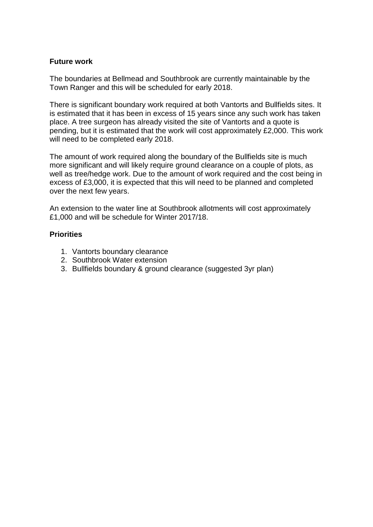## **Future work**

The boundaries at Bellmead and Southbrook are currently maintainable by the Town Ranger and this will be scheduled for early 2018.

There is significant boundary work required at both Vantorts and Bullfields sites. It is estimated that it has been in excess of 15 years since any such work has taken place. A tree surgeon has already visited the site of Vantorts and a quote is pending, but it is estimated that the work will cost approximately £2,000. This work will need to be completed early 2018.

The amount of work required along the boundary of the Bullfields site is much more significant and will likely require ground clearance on a couple of plots, as well as tree/hedge work. Due to the amount of work required and the cost being in excess of £3,000, it is expected that this will need to be planned and completed over the next few years.

An extension to the water line at Southbrook allotments will cost approximately £1,000 and will be schedule for Winter 2017/18.

## **Priorities**

- 1. Vantorts boundary clearance
- 2. Southbrook Water extension
- 3. Bullfields boundary & ground clearance (suggested 3yr plan)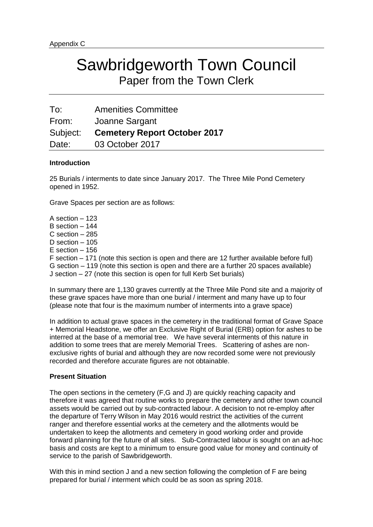| To:      | <b>Amenities Committee</b>          |
|----------|-------------------------------------|
| From:    | Joanne Sargant                      |
| Subject: | <b>Cemetery Report October 2017</b> |
| Date:    | 03 October 2017                     |

#### **Introduction**

25 Burials / interments to date since January 2017. The Three Mile Pond Cemetery opened in 1952.

Grave Spaces per section are as follows:

A section – 123 B section – 144 C section – 285 D section – 105 E section – 156 F section – 171 (note this section is open and there are 12 further available before full) G section – 119 (note this section is open and there are a further 20 spaces available) J section – 27 (note this section is open for full Kerb Set burials)

In summary there are 1,130 graves currently at the Three Mile Pond site and a majority of these grave spaces have more than one burial / interment and many have up to four (please note that four is the maximum number of interments into a grave space)

In addition to actual grave spaces in the cemetery in the traditional format of Grave Space + Memorial Headstone, we offer an Exclusive Right of Burial (ERB) option for ashes to be interred at the base of a memorial tree. We have several interments of this nature in addition to some trees that are merely Memorial Trees. Scattering of ashes are nonexclusive rights of burial and although they are now recorded some were not previously recorded and therefore accurate figures are not obtainable.

#### **Present Situation**

The open sections in the cemetery (F,G and J) are quickly reaching capacity and therefore it was agreed that routine works to prepare the cemetery and other town council assets would be carried out by sub-contracted labour. A decision to not re-employ after the departure of Terry Wilson in May 2016 would restrict the activities of the current ranger and therefore essential works at the cemetery and the allotments would be undertaken to keep the allotments and cemetery in good working order and provide forward planning for the future of all sites. Sub-Contracted labour is sought on an ad-hoc basis and costs are kept to a minimum to ensure good value for money and continuity of service to the parish of Sawbridgeworth.

With this in mind section J and a new section following the completion of F are being prepared for burial / interment which could be as soon as spring 2018.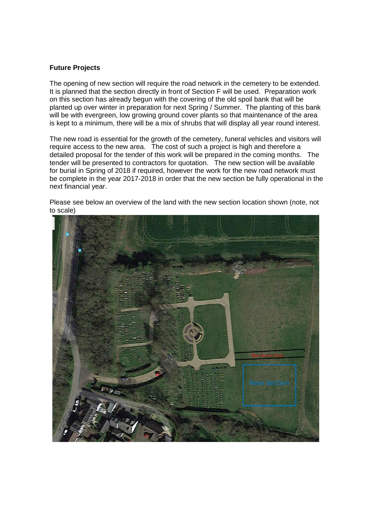#### **Future Projects**

The opening of new section will require the road network in the cemetery to be extended. It is planned that the section directly in front of Section F will be used. Preparation work on this section has already begun with the covering of the old spoil bank that will be planted up over winter in preparation for next Spring / Summer. The planting of this bank will be with evergreen, low growing ground cover plants so that maintenance of the area is kept to a minimum, there will be a mix of shrubs that will display all year round interest.

The new road is essential for the growth of the cemetery, funeral vehicles and visitors will require access to the new area. The cost of such a project is high and therefore a detailed proposal for the tender of this work will be prepared in the coming months. The tender will be presented to contractors for quotation. The new section will be available for burial in Spring of 2018 if required, however the work for the new road network must be complete in the year 2017-2018 in order that the new section be fully operational in the next financial year.

Please see below an overview of the land with the new section location shown (note, not to scale)

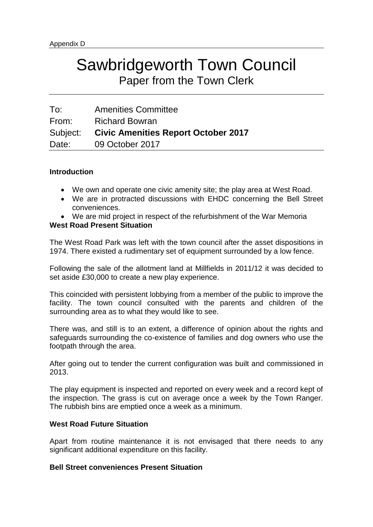| To:      | <b>Amenities Committee</b>                 |
|----------|--------------------------------------------|
| From:    | <b>Richard Bowran</b>                      |
| Subject: | <b>Civic Amenities Report October 2017</b> |
| Date:    | 09 October 2017                            |

## **Introduction**

- We own and operate one civic amenity site; the play area at West Road.
- We are in protracted discussions with EHDC concerning the Bell Street conveniences.
- We are mid project in respect of the refurbishment of the War Memoria

## **West Road Present Situation**

The West Road Park was left with the town council after the asset dispositions in 1974. There existed a rudimentary set of equipment surrounded by a low fence.

Following the sale of the allotment land at Millfields in 2011/12 it was decided to set aside £30,000 to create a new play experience.

This coincided with persistent lobbying from a member of the public to improve the facility. The town council consulted with the parents and children of the surrounding area as to what they would like to see.

There was, and still is to an extent, a difference of opinion about the rights and safeguards surrounding the co-existence of families and dog owners who use the footpath through the area.

After going out to tender the current configuration was built and commissioned in 2013.

The play equipment is inspected and reported on every week and a record kept of the inspection. The grass is cut on average once a week by the Town Ranger. The rubbish bins are emptied once a week as a minimum.

## **West Road Future Situation**

Apart from routine maintenance it is not envisaged that there needs to any significant additional expenditure on this facility.

## **Bell Street conveniences Present Situation**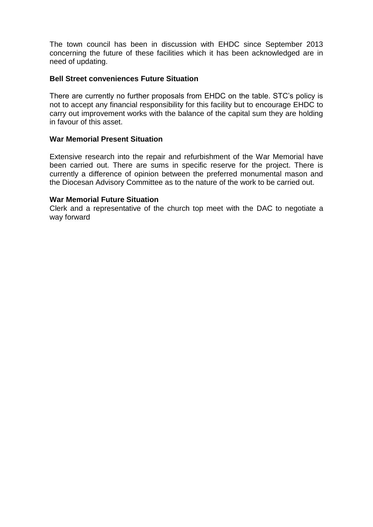The town council has been in discussion with EHDC since September 2013 concerning the future of these facilities which it has been acknowledged are in need of updating.

## **Bell Street conveniences Future Situation**

There are currently no further proposals from EHDC on the table. STC's policy is not to accept any financial responsibility for this facility but to encourage EHDC to carry out improvement works with the balance of the capital sum they are holding in favour of this asset.

## **War Memorial Present Situation**

Extensive research into the repair and refurbishment of the War Memorial have been carried out. There are sums in specific reserve for the project. There is currently a difference of opinion between the preferred monumental mason and the Diocesan Advisory Committee as to the nature of the work to be carried out.

#### **War Memorial Future Situation**

Clerk and a representative of the church top meet with the DAC to negotiate a way forward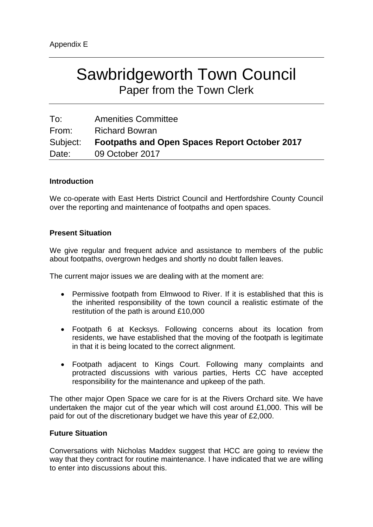| To:      | <b>Amenities Committee</b>                           |
|----------|------------------------------------------------------|
| From:    | <b>Richard Bowran</b>                                |
| Subject: | <b>Footpaths and Open Spaces Report October 2017</b> |
| Date:    | 09 October 2017                                      |

## **Introduction**

We co-operate with East Herts District Council and Hertfordshire County Council over the reporting and maintenance of footpaths and open spaces.

## **Present Situation**

We give regular and frequent advice and assistance to members of the public about footpaths, overgrown hedges and shortly no doubt fallen leaves.

The current major issues we are dealing with at the moment are:

- Permissive footpath from Elmwood to River. If it is established that this is the inherited responsibility of the town council a realistic estimate of the restitution of the path is around £10,000
- Footpath 6 at Kecksys. Following concerns about its location from residents, we have established that the moving of the footpath is legitimate in that it is being located to the correct alignment.
- Footpath adjacent to Kings Court. Following many complaints and protracted discussions with various parties, Herts CC have accepted responsibility for the maintenance and upkeep of the path.

The other major Open Space we care for is at the Rivers Orchard site. We have undertaken the major cut of the year which will cost around £1,000. This will be paid for out of the discretionary budget we have this year of £2,000.

#### **Future Situation**

Conversations with Nicholas Maddex suggest that HCC are going to review the way that they contract for routine maintenance. I have indicated that we are willing to enter into discussions about this.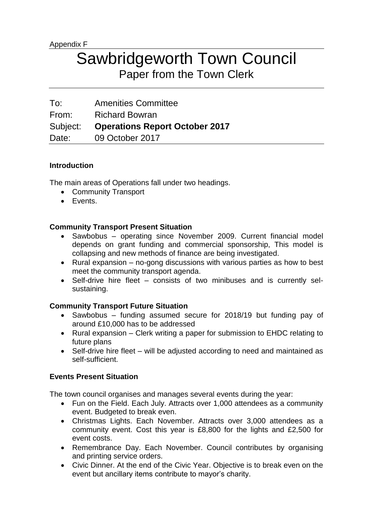| To:      | <b>Amenities Committee</b>            |
|----------|---------------------------------------|
| From:    | <b>Richard Bowran</b>                 |
| Subject: | <b>Operations Report October 2017</b> |
| Date:    | 09 October 2017                       |

## **Introduction**

The main areas of Operations fall under two headings.

- Community Transport
- **•** Fvents.

## **Community Transport Present Situation**

- Sawbobus operating since November 2009. Current financial model depends on grant funding and commercial sponsorship, This model is collapsing and new methods of finance are being investigated.
- Rural expansion  $-$  no-gong discussions with various parties as how to best meet the community transport agenda.
- Self-drive hire fleet consists of two minibuses and is currently selsustaining.

## **Community Transport Future Situation**

- Sawbobus funding assumed secure for 2018/19 but funding pay of around £10,000 has to be addressed
- Rural expansion Clerk writing a paper for submission to EHDC relating to future plans
- Self-drive hire fleet will be adjusted according to need and maintained as self-sufficient.

## **Events Present Situation**

The town council organises and manages several events during the year:

- Fun on the Field. Each July. Attracts over 1,000 attendees as a community event. Budgeted to break even.
- Christmas Lights. Each November. Attracts over 3,000 attendees as a community event. Cost this year is £8,800 for the lights and £2,500 for event costs.
- Remembrance Day. Each November. Council contributes by organising and printing service orders.
- Civic Dinner. At the end of the Civic Year. Objective is to break even on the event but ancillary items contribute to mayor's charity.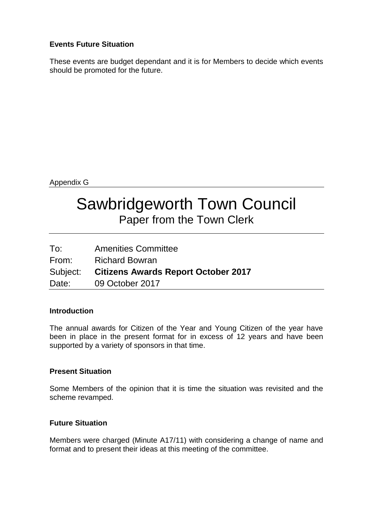## **Events Future Situation**

These events are budget dependant and it is for Members to decide which events should be promoted for the future.

Appendix G

# Sawbridgeworth Town Council Paper from the Town Clerk

| To:   | <b>Amenities Committee</b>                   |
|-------|----------------------------------------------|
| From: | <b>Richard Bowran</b>                        |
|       | Subject: Citizens Awards Report October 2017 |
| Date: | 09 October 2017                              |

## **Introduction**

The annual awards for Citizen of the Year and Young Citizen of the year have been in place in the present format for in excess of 12 years and have been supported by a variety of sponsors in that time.

## **Present Situation**

Some Members of the opinion that it is time the situation was revisited and the scheme revamped.

## **Future Situation**

Members were charged (Minute A17/11) with considering a change of name and format and to present their ideas at this meeting of the committee.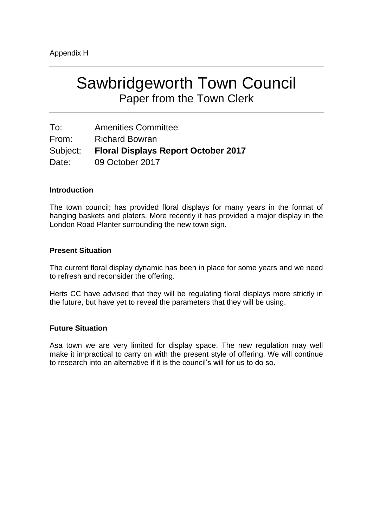| To:      | <b>Amenities Committee</b>                 |
|----------|--------------------------------------------|
| From:    | <b>Richard Bowran</b>                      |
| Subject: | <b>Floral Displays Report October 2017</b> |
| Date:    | 09 October 2017                            |

## **Introduction**

The town council; has provided floral displays for many years in the format of hanging baskets and platers. More recently it has provided a major display in the London Road Planter surrounding the new town sign.

## **Present Situation**

The current floral display dynamic has been in place for some years and we need to refresh and reconsider the offering.

Herts CC have advised that they will be regulating floral displays more strictly in the future, but have yet to reveal the parameters that they will be using.

## **Future Situation**

Asa town we are very limited for display space. The new regulation may well make it impractical to carry on with the present style of offering. We will continue to research into an alternative if it is the council's will for us to do so.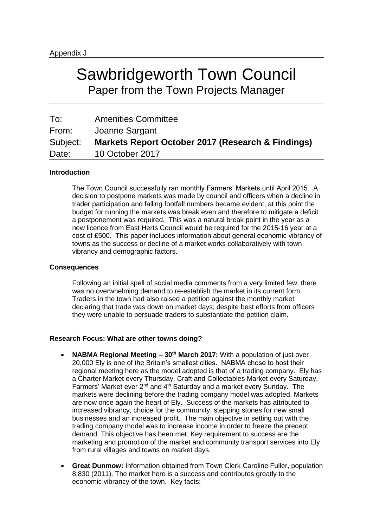# Sawbridgeworth Town Council Paper from the Town Projects Manager

| To:      | <b>Amenities Committee</b>                        |
|----------|---------------------------------------------------|
| From:    | Joanne Sargant                                    |
| Subject: | Markets Report October 2017 (Research & Findings) |
| Date:    | 10 October 2017                                   |

#### **Introduction**

The Town Council successfully ran monthly Farmers' Markets until April 2015. A decision to postpone markets was made by council and officers when a decline in trader participation and falling footfall numbers became evident, at this point the budget for running the markets was break even and therefore to mitigate a deficit a postponement was required. This was a natural break point in the year as a new licence from East Herts Council would be required for the 2015-16 year at a cost of £500. This paper includes information about general economic vibrancy of towns as the success or decline of a market works collaboratively with town vibrancy and demographic factors.

#### **Consequences**

Following an initial spell of social media comments from a very limited few, there was no overwhelming demand to re-establish the market in its current form. Traders in the town had also raised a petition against the monthly market declaring that trade was down on market days; despite best efforts from officers they were unable to persuade traders to substantiate the petition claim.

#### **Research Focus: What are other towns doing?**

- **NABMA Regional Meeting – 30th March 2017:** With a population of just over 20,000 Ely is one of the Britain's smallest cities. NABMA chose to host their regional meeting here as the model adopted is that of a trading company. Ely has a Charter Market every Thursday, Craft and Collectables Market every Saturday, Farmers' Market ever 2<sup>nd</sup> and 4<sup>th</sup> Saturday and a market every Sunday. The markets were declining before the trading company model was adopted. Markets are now once again the heart of Ely. Success of the markets has attributed to increased vibrancy, choice for the community, stepping stones for new small businesses and an increased profit. The main objective in setting out with the trading company model was to increase income in order to freeze the precept demand. This objective has been met. Key requirement to success are the marketing and promotion of the market and community transport services into Ely from rural villages and towns on market days.
- **Great Dunmow:** Information obtained from Town Clerk Caroline Fuller, population 8,830 (2011). The market here is a success and contributes greatly to the economic vibrancy of the town. Key facts: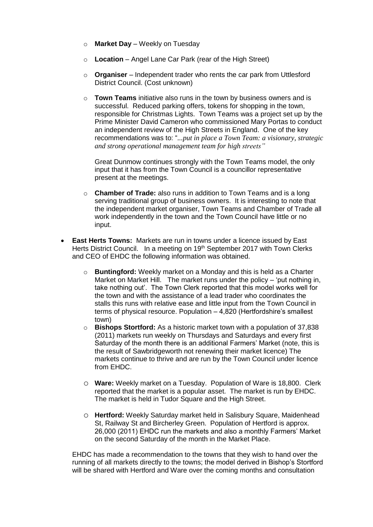- o **Market Day** Weekly on Tuesday
- o **Location** Angel Lane Car Park (rear of the High Street)
- o **Organiser** Independent trader who rents the car park from Uttlesford District Council. (Cost unknown)
- o **Town Teams** initiative also runs in the town by business owners and is successful. Reduced parking offers, tokens for shopping in the town, responsible for Christmas Lights. Town Teams was a project set up by the Prime Minister David Cameron who commissioned Mary Portas to conduct an independent review of the High Streets in England. One of the key recommendations was to: "*...put in place a Town Team: a visionary, strategic and strong operational management team for high streets"*

Great Dunmow continues strongly with the Town Teams model, the only input that it has from the Town Council is a councillor representative present at the meetings.

- o **Chamber of Trade:** also runs in addition to Town Teams and is a long serving traditional group of business owners. It is interesting to note that the independent market organiser, Town Teams and Chamber of Trade all work independently in the town and the Town Council have little or no input.
- **East Herts Towns:** Markets are run in towns under a licence issued by East Herts District Council. In a meeting on 19<sup>th</sup> September 2017 with Town Clerks and CEO of EHDC the following information was obtained.
	- o **Buntingford:** Weekly market on a Monday and this is held as a Charter Market on Market Hill. The market runs under the policy – 'put nothing in, take nothing out'. The Town Clerk reported that this model works well for the town and with the assistance of a lead trader who coordinates the stalls this runs with relative ease and little input from the Town Council in terms of physical resource. Population – 4,820 (Hertfordshire's smallest town)
	- o **Bishops Stortford:** As a historic market town with a population of 37,838 (2011) markets run weekly on Thursdays and Saturdays and every first Saturday of the month there is an additional Farmers' Market (note, this is the result of Sawbridgeworth not renewing their market licence) The markets continue to thrive and are run by the Town Council under licence from EHDC.
	- o **Ware:** Weekly market on a Tuesday. Population of Ware is 18,800. Clerk reported that the market is a popular asset. The market is run by EHDC. The market is held in Tudor Square and the High Street.
	- o **Hertford:** Weekly Saturday market held in Salisbury Square, Maidenhead St, Railway St and Bircherley Green. Population of Hertford is approx. 26,000 (2011) EHDC run the markets and also a monthly Farmers' Market on the second Saturday of the month in the Market Place.

EHDC has made a recommendation to the towns that they wish to hand over the running of all markets directly to the towns; the model derived in Bishop's Stortford will be shared with Hertford and Ware over the coming months and consultation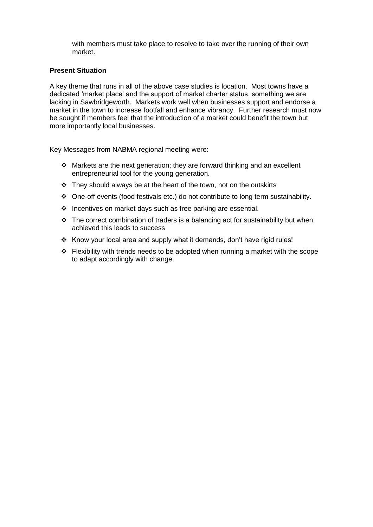with members must take place to resolve to take over the running of their own market.

#### **Present Situation**

A key theme that runs in all of the above case studies is location. Most towns have a dedicated 'market place' and the support of market charter status, something we are lacking in Sawbridgeworth. Markets work well when businesses support and endorse a market in the town to increase footfall and enhance vibrancy. Further research must now be sought if members feel that the introduction of a market could benefit the town but more importantly local businesses.

Key Messages from NABMA regional meeting were:

- $\div$  Markets are the next generation; they are forward thinking and an excellent entrepreneurial tool for the young generation.
- $\div$  They should always be at the heart of the town, not on the outskirts
- One-off events (food festivals etc.) do not contribute to long term sustainability.
- $\cdot$  Incentives on market days such as free parking are essential.
- $\cdot \cdot$  The correct combination of traders is a balancing act for sustainability but when achieved this leads to success
- \* Know your local area and supply what it demands, don't have rigid rules!
- $\div$  Flexibility with trends needs to be adopted when running a market with the scope to adapt accordingly with change.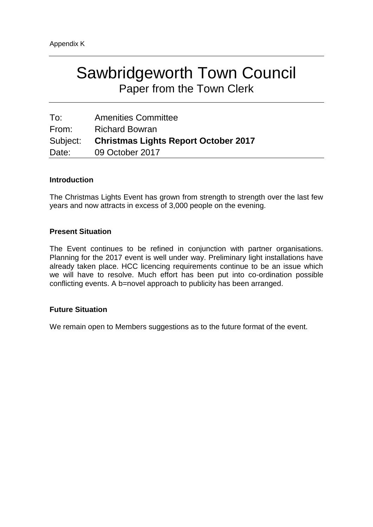| To:   | <b>Amenities Committee</b>                    |
|-------|-----------------------------------------------|
| From: | <b>Richard Bowran</b>                         |
|       | Subject: Christmas Lights Report October 2017 |
| Date: | 09 October 2017                               |

## **Introduction**

The Christmas Lights Event has grown from strength to strength over the last few years and now attracts in excess of 3,000 people on the evening.

## **Present Situation**

The Event continues to be refined in conjunction with partner organisations. Planning for the 2017 event is well under way. Preliminary light installations have already taken place. HCC licencing requirements continue to be an issue which we will have to resolve. Much effort has been put into co-ordination possible conflicting events. A b=novel approach to publicity has been arranged.

## **Future Situation**

We remain open to Members suggestions as to the future format of the event.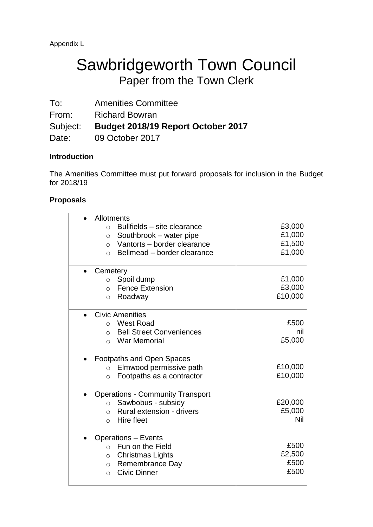To: Amenities Committee From: Richard Bowran Subject: **Budget 2018/19 Report October 2017** Date: 09 October 2017

## **Introduction**

The Amenities Committee must put forward proposals for inclusion in the Budget for 2018/19

## **Proposals**

| Allotments                                     |         |
|------------------------------------------------|---------|
| Bullfields - site clearance<br>$\bigcirc$      | £3,000  |
| Southbrook - water pipe<br>$\circ$             | £1,000  |
| Vantorts - border clearance<br>$\bigcirc$      | £1,500  |
| Bellmead - border clearance<br>$\bigcap$       | £1,000  |
|                                                |         |
| Cemetery                                       |         |
| Spoil dump<br>$\circ$                          | £1,000  |
| <b>Fence Extension</b><br>$\circ$              | £3,000  |
| Roadway<br>$\Omega$                            | £10,000 |
|                                                |         |
| <b>Civic Amenities</b>                         |         |
| <b>West Road</b><br>$\Omega$                   | £500    |
| <b>Bell Street Conveniences</b><br>$\Omega$    | nil     |
| <b>War Memorial</b><br>$\Omega$                | £5,000  |
|                                                |         |
| <b>Footpaths and Open Spaces</b>               |         |
| Elmwood permissive path<br>$\circ$             | £10,000 |
| Footpaths as a contractor<br>$\circ$           | £10,000 |
|                                                |         |
| <b>Operations - Community Transport</b>        |         |
| Sawbobus - subsidy<br>$\circ$                  | £20,000 |
| Rural extension - drivers<br>$\circ$           | £5,000  |
| Hire fleet<br>$\Omega$                         | Nil     |
|                                                |         |
| <b>Operations - Events</b><br>Fun on the Field | £500    |
| $\Omega$                                       | £2,500  |
| <b>Christmas Lights</b><br>$\circ$             | £500    |
| Remembrance Day<br>$\circ$                     | £500    |
| <b>Civic Dinner</b><br>$\Omega$                |         |
|                                                |         |